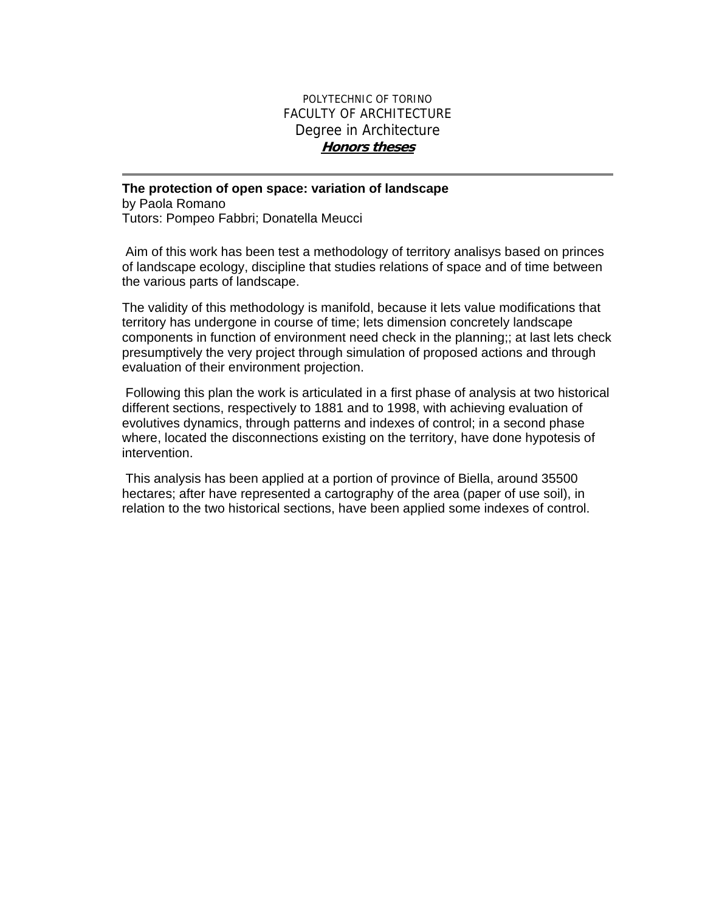## POLYTECHNIC OF TORINO FACULTY OF ARCHITECTURE Degree in Architecture **Honors theses**

## **The protection of open space: variation of landscape**

by Paola Romano Tutors: Pompeo Fabbri; Donatella Meucci

 Aim of this work has been test a methodology of territory analisys based on princes of landscape ecology, discipline that studies relations of space and of time between the various parts of landscape.

The validity of this methodology is manifold, because it lets value modifications that territory has undergone in course of time; lets dimension concretely landscape components in function of environment need check in the planning;; at last lets check presumptively the very project through simulation of proposed actions and through evaluation of their environment projection.

 Following this plan the work is articulated in a first phase of analysis at two historical different sections, respectively to 1881 and to 1998, with achieving evaluation of evolutives dynamics, through patterns and indexes of control; in a second phase where, located the disconnections existing on the territory, have done hypotesis of intervention.

 This analysis has been applied at a portion of province of Biella, around 35500 hectares; after have represented a cartography of the area (paper of use soil), in relation to the two historical sections, have been applied some indexes of control.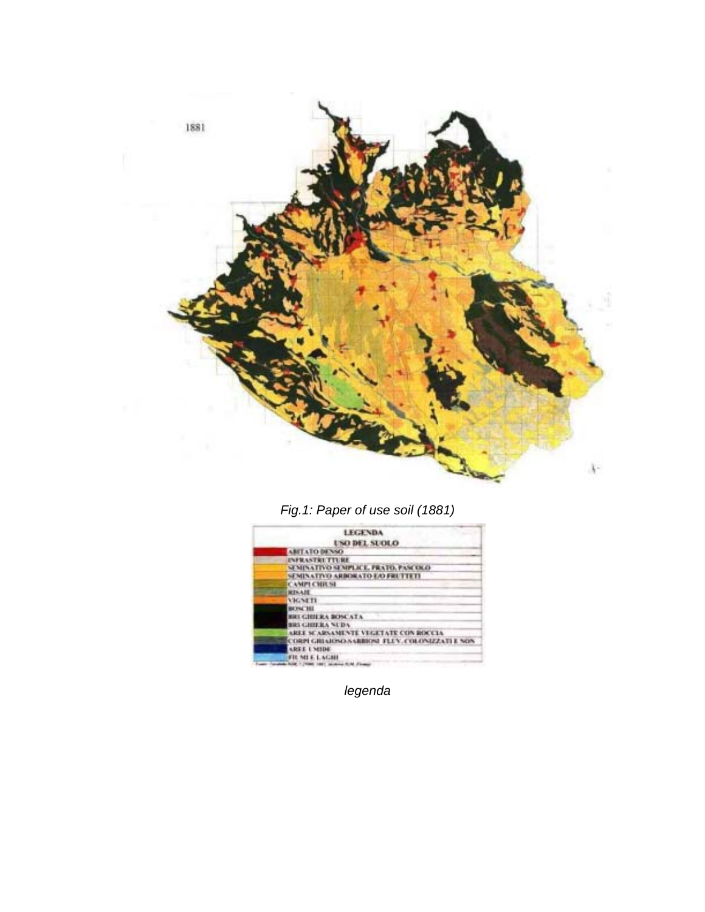

*Fig.1: Paper of use soil (1881)* 

| <b>LEGENDA</b>                                     |
|----------------------------------------------------|
| USO DEL SUOLO                                      |
| ABITATO DE NSO                                     |
| <b>INFRANTICE TTURE</b>                            |
| SUMINATIVO SEMPLICE, FRATO, PASCOLO                |
| SEMINATIVO ARBORATO E/O FRUTTETI                   |
| <b>CAMPLE HIRSI</b>                                |
| <b>RENAIR</b>                                      |
| <b><i>VIGNETI</i></b>                              |
| <b>BEYAL THE</b>                                   |
| <b>BRUGHIERA BOSCATA</b>                           |
| <b>BRUGHERANDA</b>                                 |
| AREE SCARSAMENTE VEGETATE CON ROCCIA               |
| CORPI GRIAJOSO SARRIOSE FLUY. COLONIZZATI E NON    |
| AREE UNITH                                         |
| FILMI E LAGHI                                      |
| School in Connect Labour. An agree of the Allegean |

*legenda*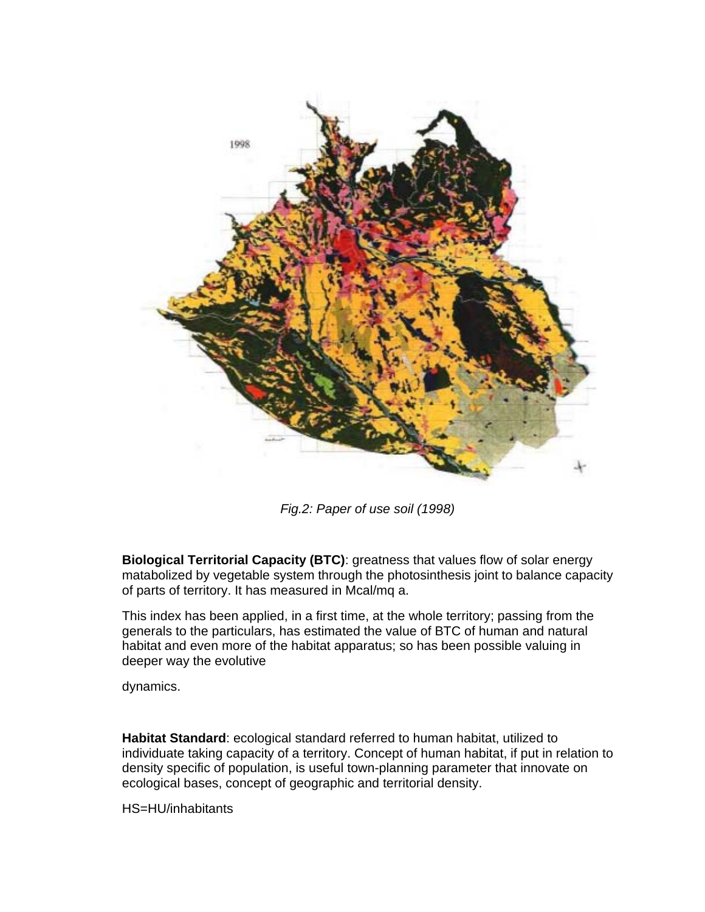

*Fig.2: Paper of use soil (1998)* 

**Biological Territorial Capacity (BTC)**: greatness that values flow of solar energy matabolized by vegetable system through the photosinthesis joint to balance capacity of parts of territory. It has measured in Mcal/mq a.

This index has been applied, in a first time, at the whole territory; passing from the generals to the particulars, has estimated the value of BTC of human and natural habitat and even more of the habitat apparatus; so has been possible valuing in deeper way the evolutive

dynamics.

**Habitat Standard**: ecological standard referred to human habitat, utilized to individuate taking capacity of a territory. Concept of human habitat, if put in relation to density specific of population, is useful town-planning parameter that innovate on ecological bases, concept of geographic and territorial density.

HS=HU/inhabitants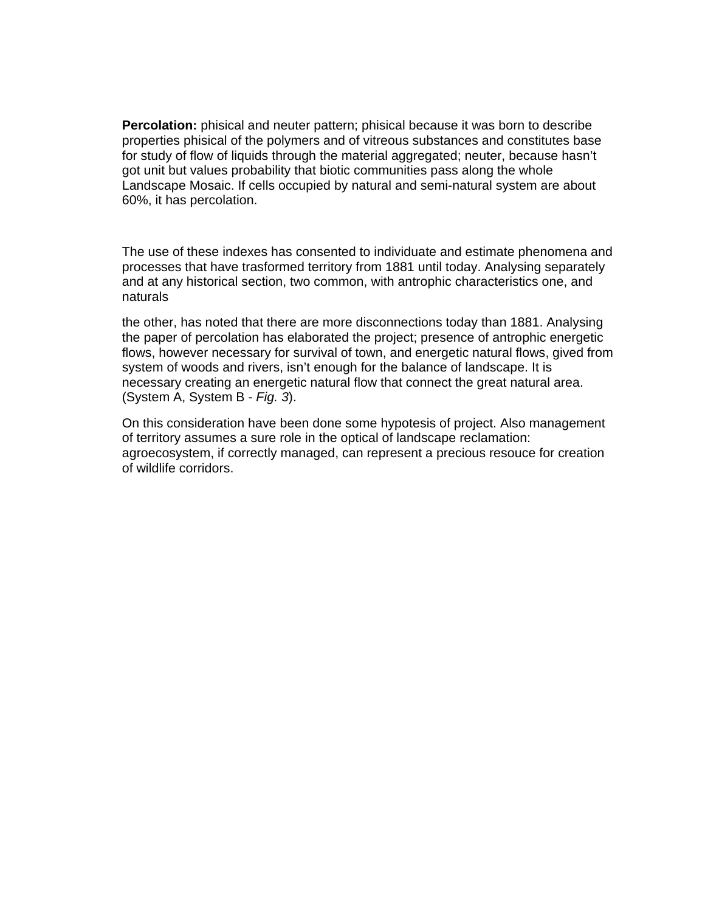**Percolation:** phisical and neuter pattern; phisical because it was born to describe properties phisical of the polymers and of vitreous substances and constitutes base for study of flow of liquids through the material aggregated; neuter, because hasn't got unit but values probability that biotic communities pass along the whole Landscape Mosaic. If cells occupied by natural and semi-natural system are about 60%, it has percolation.

The use of these indexes has consented to individuate and estimate phenomena and processes that have trasformed territory from 1881 until today. Analysing separately and at any historical section, two common, with antrophic characteristics one, and naturals

the other, has noted that there are more disconnections today than 1881. Analysing the paper of percolation has elaborated the project; presence of antrophic energetic flows, however necessary for survival of town, and energetic natural flows, gived from system of woods and rivers, isn't enough for the balance of landscape. It is necessary creating an energetic natural flow that connect the great natural area. (System A, System B - *Fig. 3*).

On this consideration have been done some hypotesis of project. Also management of territory assumes a sure role in the optical of landscape reclamation: agroecosystem, if correctly managed, can represent a precious resouce for creation of wildlife corridors.